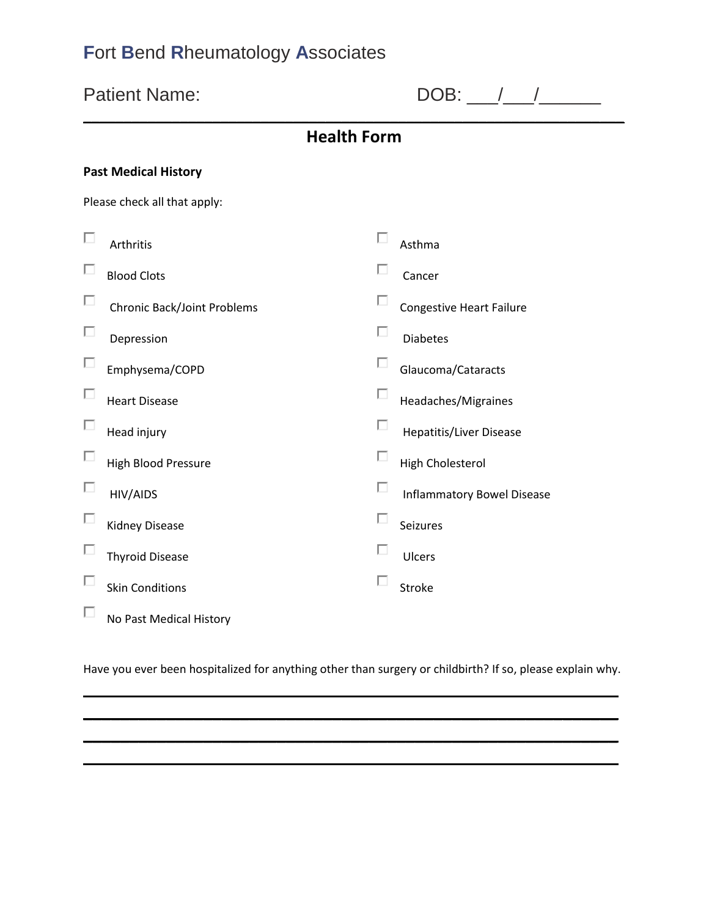|   | <b>Patient Name:</b>               |                    | $DOB:$ / /                        |  |  |  |
|---|------------------------------------|--------------------|-----------------------------------|--|--|--|
|   |                                    | <b>Health Form</b> |                                   |  |  |  |
|   | <b>Past Medical History</b>        |                    |                                   |  |  |  |
|   | Please check all that apply:       |                    |                                   |  |  |  |
| п | Arthritis                          | П                  | Asthma                            |  |  |  |
|   | <b>Blood Clots</b>                 | □                  | Cancer                            |  |  |  |
| Ш | <b>Chronic Back/Joint Problems</b> | П                  | Congestive Heart Failure          |  |  |  |
| п | Depression                         | п                  | <b>Diabetes</b>                   |  |  |  |
| п | Emphysema/COPD                     | П                  | Glaucoma/Cataracts                |  |  |  |
|   | <b>Heart Disease</b>               | п                  | Headaches/Migraines               |  |  |  |
| Е | Head injury                        | П                  | <b>Hepatitis/Liver Disease</b>    |  |  |  |
| ш | <b>High Blood Pressure</b>         | п                  | <b>High Cholesterol</b>           |  |  |  |
| п | HIV/AIDS                           | п                  | <b>Inflammatory Bowel Disease</b> |  |  |  |
|   | <b>Kidney Disease</b>              | п                  | Seizures                          |  |  |  |
|   | <b>Thyroid Disease</b>             | □                  | Ulcers                            |  |  |  |
|   | <b>Skin Conditions</b>             |                    | Stroke                            |  |  |  |
| ш | No Past Medical History            |                    |                                   |  |  |  |

Have you ever been hospitalized for anything other than surgery or childbirth? If so, please explain why. \_\_\_\_\_\_\_\_\_\_\_\_\_\_\_\_\_\_\_\_\_\_\_\_\_\_\_\_\_\_\_\_\_\_\_\_\_\_\_\_\_\_\_\_\_\_\_\_\_\_\_\_\_\_\_\_\_\_

\_\_\_\_\_\_\_\_\_\_\_\_\_\_\_\_\_\_\_\_\_\_\_\_\_\_\_\_\_\_\_\_\_\_\_\_\_\_\_\_\_\_\_\_\_\_\_\_\_\_\_\_\_\_\_\_\_\_ \_\_\_\_\_\_\_\_\_\_\_\_\_\_\_\_\_\_\_\_\_\_\_\_\_\_\_\_\_\_\_\_\_\_\_\_\_\_\_\_\_\_\_\_\_\_\_\_\_\_\_\_\_\_\_\_\_\_ \_\_\_\_\_\_\_\_\_\_\_\_\_\_\_\_\_\_\_\_\_\_\_\_\_\_\_\_\_\_\_\_\_\_\_\_\_\_\_\_\_\_\_\_\_\_\_\_\_\_\_\_\_\_\_\_\_\_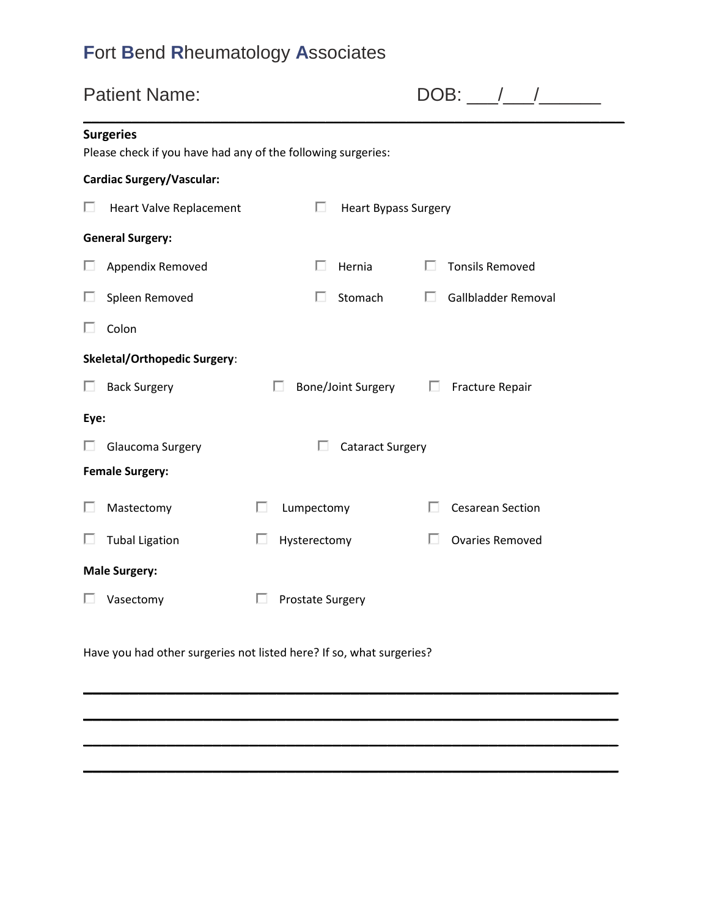| <b>Patient Name:</b>                                                             |                      |
|----------------------------------------------------------------------------------|----------------------|
| <b>Surgeries</b><br>Please check if you have had any of the following surgeries: |                      |
| <b>Cardiac Surgery/Vascular:</b>                                                 |                      |
| Heart Valve Replacement<br>ш                                                     | Heart Bypass Surgery |
| <b>General Surgery:</b>                                                          |                      |
| Appendix Removed                                                                 | Hernia               |

|      | OCHCLAI JULKCI Y.                   |                           |   |                         |
|------|-------------------------------------|---------------------------|---|-------------------------|
|      | Appendix Removed                    | Hernia                    |   | <b>Tonsils Removed</b>  |
|      | Spleen Removed                      | Stomach                   |   | Gallbladder Removal     |
|      | Colon                               |                           |   |                         |
|      | <b>Skeletal/Orthopedic Surgery:</b> |                           |   |                         |
|      | <b>Back Surgery</b>                 | <b>Bone/Joint Surgery</b> | ш | <b>Fracture Repair</b>  |
| Eye: |                                     |                           |   |                         |
|      | Glaucoma Surgery                    | <b>Cataract Surgery</b>   |   |                         |
|      | <b>Female Surgery:</b>              |                           |   |                         |
|      | Mastectomy                          | П<br>Lumpectomy           |   | <b>Cesarean Section</b> |
|      | <b>Tubal Ligation</b>               | Hysterectomy<br>ш         |   | <b>Ovaries Removed</b>  |
|      | <b>Male Surgery:</b>                |                           |   |                         |
|      | Vasectomy                           | <b>Prostate Surgery</b>   |   |                         |

**\_\_\_\_\_\_\_\_\_\_\_\_\_\_\_\_\_\_\_\_\_\_\_\_\_\_\_\_\_\_\_\_\_\_\_\_\_\_\_\_\_\_\_\_\_\_\_\_\_\_\_\_\_\_\_\_\_\_**

**\_\_\_\_\_\_\_\_\_\_\_\_\_\_\_\_\_\_\_\_\_\_\_\_\_\_\_\_\_\_\_\_\_\_\_\_\_\_\_\_\_\_\_\_\_\_\_\_\_\_\_\_\_\_\_\_\_\_**

**\_\_\_\_\_\_\_\_\_\_\_\_\_\_\_\_\_\_\_\_\_\_\_\_\_\_\_\_\_\_\_\_\_\_\_\_\_\_\_\_\_\_\_\_\_\_\_\_\_\_\_\_\_\_\_\_\_\_**

**\_\_\_\_\_\_\_\_\_\_\_\_\_\_\_\_\_\_\_\_\_\_\_\_\_\_\_\_\_\_\_\_\_\_\_\_\_\_\_\_\_\_\_\_\_\_\_\_\_\_\_\_\_\_\_\_\_\_**

Patient Name: DOB: \_\_\_/\_\_\_/\_\_\_\_\_\_

 $\mathcal{L} = \{ \mathcal{L} \mid \mathcal{L} \in \mathcal{L} \}$ 

Have you had other surgeries not listed here? If so, what surgeries?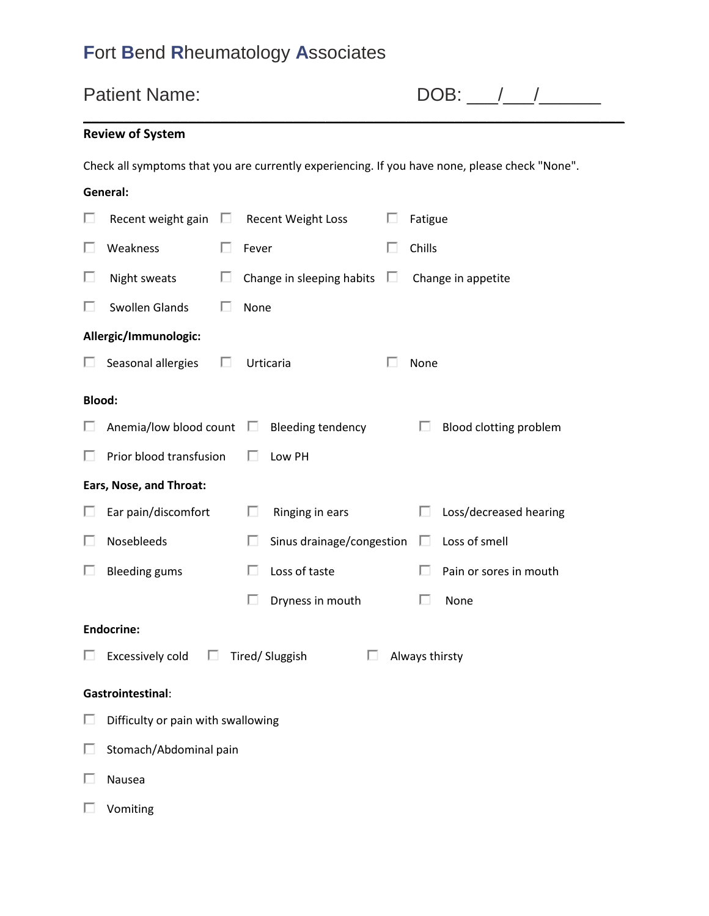| <b>Patient Name:</b> |                                                                 |   |                                |   |                                                                                                |  |
|----------------------|-----------------------------------------------------------------|---|--------------------------------|---|------------------------------------------------------------------------------------------------|--|
|                      | <b>Review of System</b>                                         |   |                                |   |                                                                                                |  |
|                      |                                                                 |   |                                |   | Check all symptoms that you are currently experiencing. If you have none, please check "None". |  |
|                      | General:                                                        |   |                                |   |                                                                                                |  |
| ш                    | Recent weight gain $\square$                                    |   | Recent Weight Loss             |   | Fatigue                                                                                        |  |
| ш                    | Weakness                                                        | п | Fever                          |   | Chills                                                                                         |  |
| ш                    | Night sweats                                                    | П | Change in sleeping habits      | ш | Change in appetite                                                                             |  |
| □                    | Swollen Glands                                                  | ш | None                           |   |                                                                                                |  |
|                      | Allergic/Immunologic:                                           |   |                                |   |                                                                                                |  |
| ш                    | Seasonal allergies                                              | П | Urticaria                      |   | None                                                                                           |  |
| <b>Blood:</b>        |                                                                 |   |                                |   |                                                                                                |  |
|                      | Anemia/low blood count $\square$                                |   | <b>Bleeding tendency</b>       |   | Blood clotting problem<br>ш                                                                    |  |
| ш                    | Prior blood transfusion                                         |   | Low PH                         |   |                                                                                                |  |
|                      | Ears, Nose, and Throat:                                         |   |                                |   |                                                                                                |  |
| ш                    | Ear pain/discomfort                                             |   | Ringing in ears<br>ш           |   | Loss/decreased hearing                                                                         |  |
| ш                    | Nosebleeds                                                      |   | Sinus drainage/congestion<br>ш |   | Loss of smell<br>ш                                                                             |  |
| ш                    | <b>Bleeding gums</b>                                            |   | Loss of taste<br>ш             |   | Pain or sores in mouth<br>ш                                                                    |  |
|                      |                                                                 |   | Dryness in mouth               |   | П<br>None                                                                                      |  |
|                      | <b>Endocrine:</b>                                               |   |                                |   |                                                                                                |  |
| ш                    | П<br>Excessively cold<br>Tired/ Sluggish<br>Always thirsty<br>п |   |                                |   |                                                                                                |  |
|                      | Gastrointestinal:                                               |   |                                |   |                                                                                                |  |
| ш                    | Difficulty or pain with swallowing                              |   |                                |   |                                                                                                |  |
|                      | Stomach/Abdominal pain                                          |   |                                |   |                                                                                                |  |
| П                    | Nausea                                                          |   |                                |   |                                                                                                |  |

Vomiting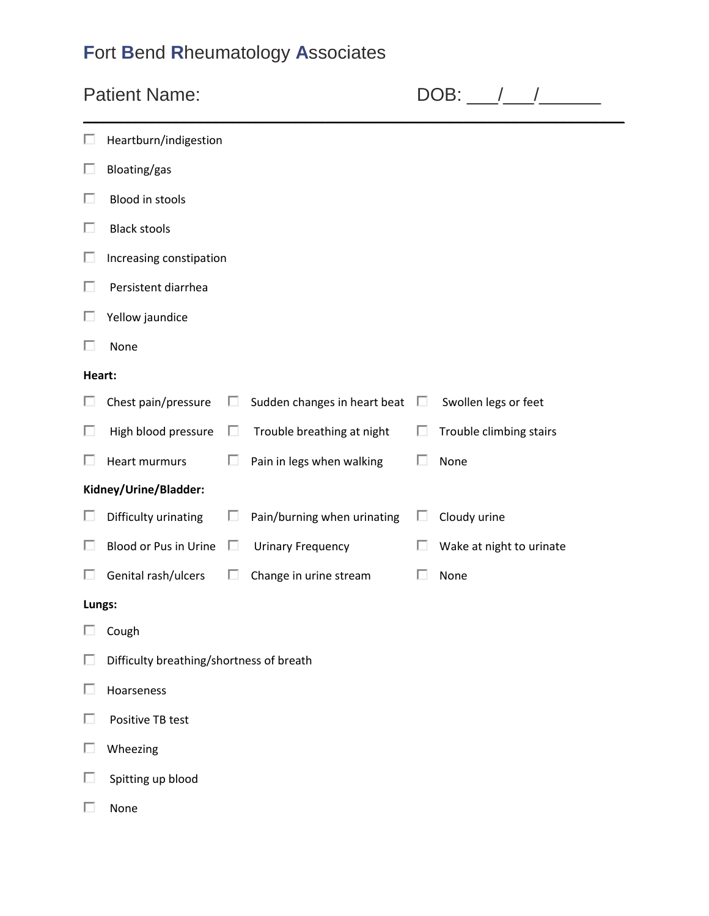| <b>Patient Name:</b> |                                          |   |                              |   | $DOB:$ $\_\_\_\$         |  |  |
|----------------------|------------------------------------------|---|------------------------------|---|--------------------------|--|--|
| ш                    | Heartburn/indigestion                    |   |                              |   |                          |  |  |
| п                    | Bloating/gas                             |   |                              |   |                          |  |  |
| П                    | <b>Blood in stools</b>                   |   |                              |   |                          |  |  |
| П                    | <b>Black stools</b>                      |   |                              |   |                          |  |  |
| П                    | Increasing constipation                  |   |                              |   |                          |  |  |
| п                    | Persistent diarrhea                      |   |                              |   |                          |  |  |
| П                    | Yellow jaundice                          |   |                              |   |                          |  |  |
| п                    | None                                     |   |                              |   |                          |  |  |
| Heart:               |                                          |   |                              |   |                          |  |  |
| П                    | Chest pain/pressure                      | □ | Sudden changes in heart beat | П | Swollen legs or feet     |  |  |
| П                    | High blood pressure                      | ш | Trouble breathing at night   |   | Trouble climbing stairs  |  |  |
| L                    | <b>Heart murmurs</b>                     | П | Pain in legs when walking    | ш | None                     |  |  |
|                      | Kidney/Urine/Bladder:                    |   |                              |   |                          |  |  |
| ш                    | Difficulty urinating                     |   | Pain/burning when urinating  | ப | Cloudy urine             |  |  |
| Ш                    | Blood or Pus in Urine                    | □ | <b>Urinary Frequency</b>     | ш | Wake at night to urinate |  |  |
| L                    | Genital rash/ulcers                      |   | Change in urine stream       | L | None                     |  |  |
| Lungs:               |                                          |   |                              |   |                          |  |  |
| п                    | Cough                                    |   |                              |   |                          |  |  |
| п                    | Difficulty breathing/shortness of breath |   |                              |   |                          |  |  |
| П                    | Hoarseness                               |   |                              |   |                          |  |  |
| □                    | Positive TB test                         |   |                              |   |                          |  |  |
| п                    | Wheezing                                 |   |                              |   |                          |  |  |
| п                    | Spitting up blood                        |   |                              |   |                          |  |  |
| п                    | None                                     |   |                              |   |                          |  |  |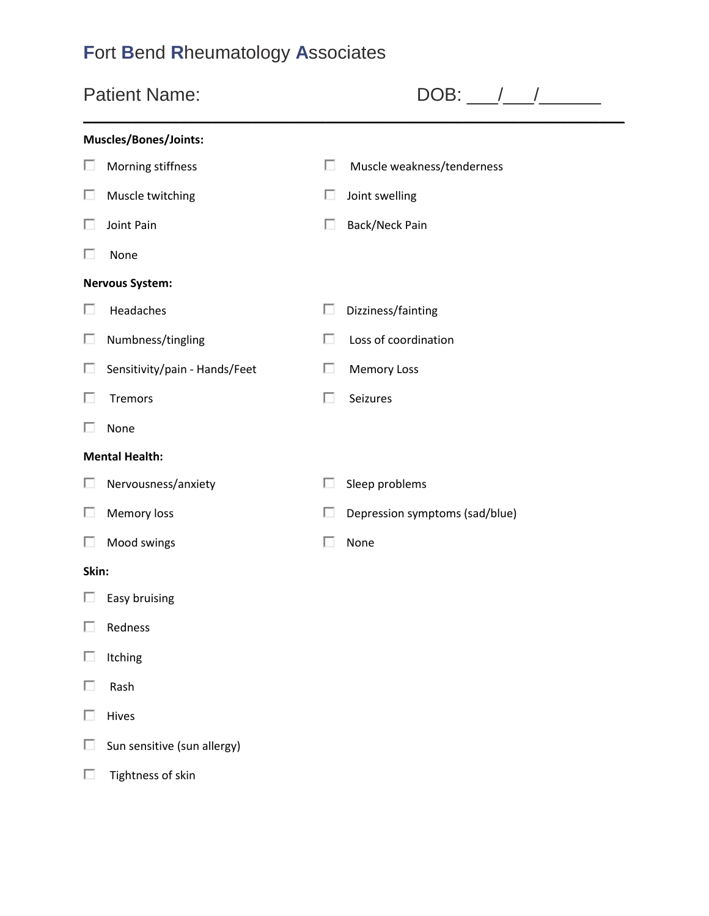| <b>Patient Name:</b> |                               |   | DOB:                           |  |  |
|----------------------|-------------------------------|---|--------------------------------|--|--|
|                      | Muscles/Bones/Joints:         |   |                                |  |  |
| ш                    | Morning stiffness             | П | Muscle weakness/tenderness     |  |  |
| Ш                    | Muscle twitching              | п | Joint swelling                 |  |  |
| Ш                    | Joint Pain                    | Е | Back/Neck Pain                 |  |  |
| ш                    | None                          |   |                                |  |  |
|                      | <b>Nervous System:</b>        |   |                                |  |  |
| ш                    | Headaches                     | п | Dizziness/fainting             |  |  |
| ш                    | Numbness/tingling             | п | Loss of coordination           |  |  |
| ш                    | Sensitivity/pain - Hands/Feet | п | <b>Memory Loss</b>             |  |  |
| ш                    | <b>Tremors</b>                | п | Seizures                       |  |  |
| ш                    | None                          |   |                                |  |  |
|                      | <b>Mental Health:</b>         |   |                                |  |  |
| Ш                    | Nervousness/anxiety           | п | Sleep problems                 |  |  |
| ш                    | Memory loss                   | L | Depression symptoms (sad/blue) |  |  |
| Ш                    | Mood swings                   | L | None                           |  |  |
| Skin:                |                               |   |                                |  |  |
| ш                    | Easy bruising                 |   |                                |  |  |
|                      | Redness                       |   |                                |  |  |
| п                    | Itching                       |   |                                |  |  |
| п                    | Rash                          |   |                                |  |  |
| п                    | Hives                         |   |                                |  |  |
| п                    | Sun sensitive (sun allergy)   |   |                                |  |  |
| п                    | Tightness of skin             |   |                                |  |  |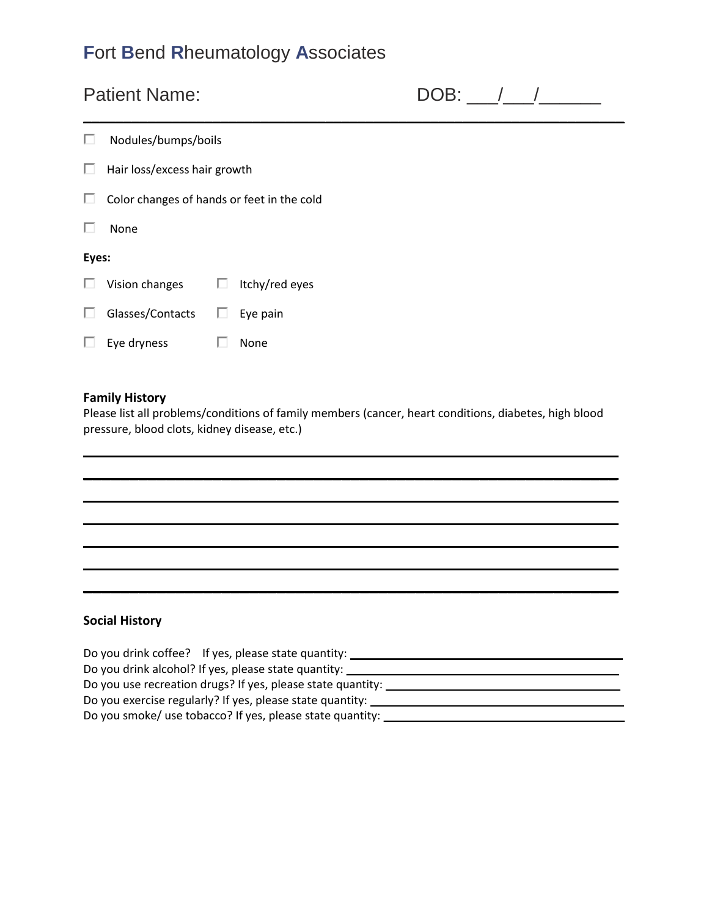#### Patient Name: DOB: \_\_\_/\_\_\_/\_\_\_\_\_\_

|   | Nodules/bumps/boils                        |    |                |  |  |
|---|--------------------------------------------|----|----------------|--|--|
| ш | Hair loss/excess hair growth               |    |                |  |  |
| ш | Color changes of hands or feet in the cold |    |                |  |  |
|   | None                                       |    |                |  |  |
|   | Eyes:                                      |    |                |  |  |
| ш | Vision changes                             | ш  | Itchy/red eyes |  |  |
| ш | Glasses/Contacts                           | ш  | Eye pain       |  |  |
| ш | Eye dryness                                | L. | None           |  |  |
|   |                                            |    |                |  |  |

#### **Family History**

Please list all problems/conditions of family members (cancer, heart conditions, diabetes, high blood pressure, blood clots, kidney disease, etc.)

\_\_\_\_\_\_\_\_\_\_\_\_\_\_\_\_\_\_\_\_\_\_\_\_\_\_\_\_\_\_\_\_\_\_\_\_\_\_\_\_\_\_\_\_\_\_\_\_\_\_\_\_\_\_\_\_\_\_ \_\_\_\_\_\_\_\_\_\_\_\_\_\_\_\_\_\_\_\_\_\_\_\_\_\_\_\_\_\_\_\_\_\_\_\_\_\_\_\_\_\_\_\_\_\_\_\_\_\_\_\_\_\_\_\_\_\_ \_\_\_\_\_\_\_\_\_\_\_\_\_\_\_\_\_\_\_\_\_\_\_\_\_\_\_\_\_\_\_\_\_\_\_\_\_\_\_\_\_\_\_\_\_\_\_\_\_\_\_\_\_\_\_\_\_\_ \_\_\_\_\_\_\_\_\_\_\_\_\_\_\_\_\_\_\_\_\_\_\_\_\_\_\_\_\_\_\_\_\_\_\_\_\_\_\_\_\_\_\_\_\_\_\_\_\_\_\_\_\_\_\_\_\_\_ \_\_\_\_\_\_\_\_\_\_\_\_\_\_\_\_\_\_\_\_\_\_\_\_\_\_\_\_\_\_\_\_\_\_\_\_\_\_\_\_\_\_\_\_\_\_\_\_\_\_\_\_\_\_\_\_\_\_ \_\_\_\_\_\_\_\_\_\_\_\_\_\_\_\_\_\_\_\_\_\_\_\_\_\_\_\_\_\_\_\_\_\_\_\_\_\_\_\_\_\_\_\_\_\_\_\_\_\_\_\_\_\_\_\_\_\_ \_\_\_\_\_\_\_\_\_\_\_\_\_\_\_\_\_\_\_\_\_\_\_\_\_\_\_\_\_\_\_\_\_\_\_\_\_\_\_\_\_\_\_\_\_\_\_\_\_\_\_\_\_\_\_\_\_\_

#### **Social History**

| Do you drink coffee? If yes, please state quantity:                 |
|---------------------------------------------------------------------|
| Do you drink alcohol? If yes, please state quantity:                |
| Do you use recreation drugs? If yes, please state quantity: _______ |
| Do you exercise regularly? If yes, please state quantity: _____     |
| Do you smoke/ use tobacco? If yes, please state quantity: ____      |